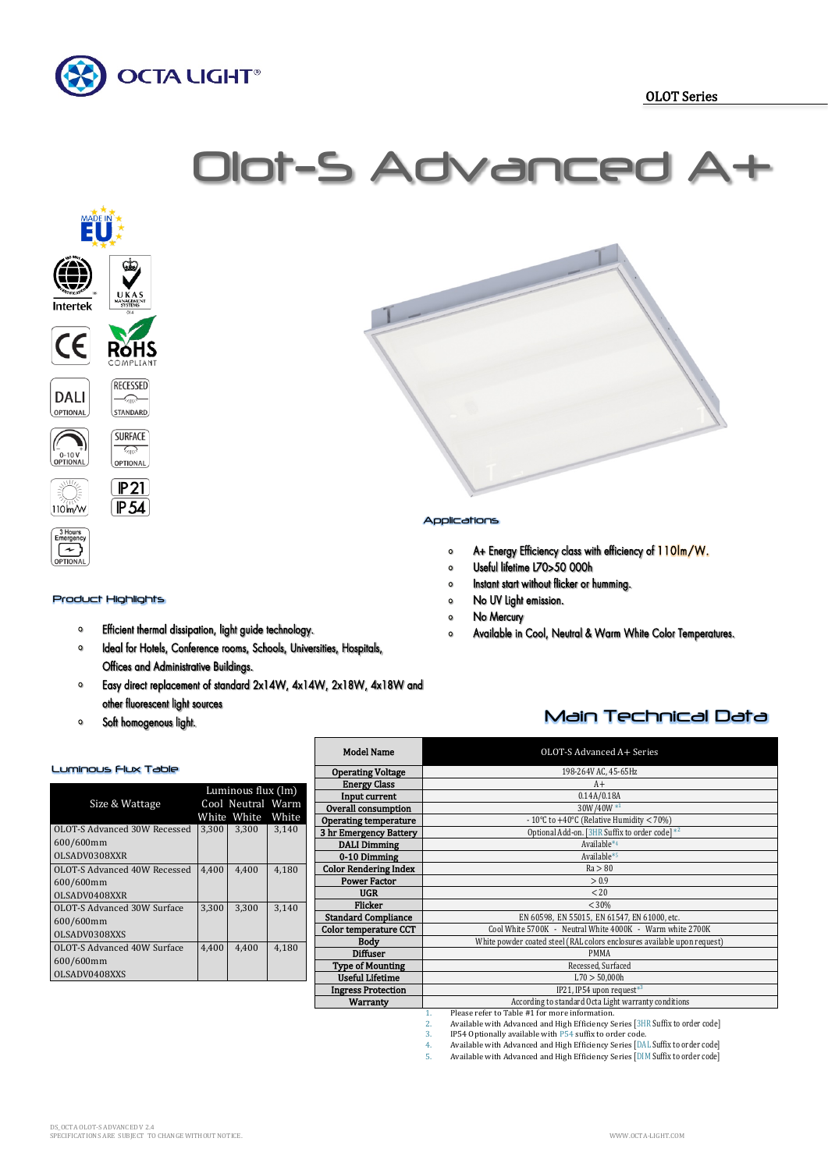









# BHours<br>Emergenc **OPTIONA**

#### Product Highlights

 $\sqrt{2}$ 

OPTIONAL  $P<sub>21</sub>$ 

 $[P54]$ 

- Efficient thermal dissipation, light guide technology.  $\circ$
- $\bullet$ Ideal for Hotels, Conference rooms, Schools, Universities, Hospitals, Offices and Administrative Buildings.
- Easy direct replacement of standard 2x14W, 4x14W, 2x18W, 4x18W and  $\bullet$ other fluorescent light sources
- Soft homogenous light.  $\bullet$

#### Luminous Flux Table

|                              | Luminous flux (lm) |                   |       |
|------------------------------|--------------------|-------------------|-------|
| Size & Wattage               |                    | Cool Neutral Warm |       |
|                              |                    | White White       | White |
| OLOT-S Advanced 30W Recessed | 3.300              | 3,300             | 3,140 |
| 600/600mm                    |                    |                   |       |
| OLSADV0308XXR                |                    |                   |       |
| OLOT-S Advanced 40W Recessed | 4.400              | 4,400             | 4,180 |
| 600/600mm                    |                    |                   |       |
| OLSADV0408XXR                |                    |                   |       |
| OLOT-S Advanced 30W Surface  | 3.300              | 3,300             | 3,140 |
| 600/600mm                    |                    |                   |       |
| OLSADV0308XXS                |                    |                   |       |
| OLOT-S Advanced 40W Surface  | 4.400              | 4.400             | 4,180 |
| 600/600mm                    |                    |                   |       |
| OLSADV0408XXS                |                    |                   |       |



### Applications

- A+ Energy Efficiency class with efficiency of 110lm/W.  $\circ$
- Useful lifetime L70>50 000h  $\circ$
- Instant start without flicker or humming.  $\circ$
- No UV Light emission.  $\bullet$
- No Mercury  $\circ$
- Available in Cool, Neutral & Warm White Color Temperatures.  $\circ$

## Main Technical Data

| <b>Model Name</b>            | OLOT-S Advanced A+ Series                                                |  |  |  |  |
|------------------------------|--------------------------------------------------------------------------|--|--|--|--|
| <b>Operating Voltage</b>     | 198-264V AC, 45-65Hz                                                     |  |  |  |  |
| <b>Energy Class</b>          | $A+$                                                                     |  |  |  |  |
| Input current                | 0.14A/0.18A                                                              |  |  |  |  |
| Overall consumption          | 30W/40W*1                                                                |  |  |  |  |
| Operating temperature        | - 10°C to $+40$ °C (Relative Humidity < 70%)                             |  |  |  |  |
| 3 hr Emergency Battery       | Optional Add-on. [3HR Suffix to order code] *2                           |  |  |  |  |
| <b>DALI</b> Dimming          | Available*4                                                              |  |  |  |  |
| 0-10 Dimming                 | Available*5                                                              |  |  |  |  |
| <b>Color Rendering Index</b> | Ra > 80                                                                  |  |  |  |  |
| <b>Power Factor</b>          | > 0.9                                                                    |  |  |  |  |
| <b>UGR</b>                   | < 20                                                                     |  |  |  |  |
| Flicker                      | < 30%                                                                    |  |  |  |  |
| <b>Standard Compliance</b>   | EN 60598, EN 55015, EN 61547, EN 61000, etc.                             |  |  |  |  |
| Color temperature CCT        | Cool White 5700K - Neutral White 4000K - Warm white 2700K                |  |  |  |  |
| Body                         | White powder coated steel (RAL colors enclosures available upon request) |  |  |  |  |
| <b>Diffuser</b>              | <b>PMMA</b>                                                              |  |  |  |  |
| Type of Mounting             | Recessed, Surfaced                                                       |  |  |  |  |
| <b>Useful Lifetime</b>       | L70 > 50,000h                                                            |  |  |  |  |
| <b>Ingress Protection</b>    | IP21, IP54 upon request <sup>*3</sup>                                    |  |  |  |  |
| <b>Warranty</b>              | According to standard Octa Light warranty conditions                     |  |  |  |  |
|                              | Please refer to Table #1 for more information.<br>1.                     |  |  |  |  |

2. Available with Advanced and High Efficiency Series [3HR Suffix to order code] 3. IP54 Optionally available with P54 suffix to order code.

4. Available with Advanced and High Efficiency Series [DAL Suffix to order code]<br>5. Available with Advanced and High Efficiency Series [DIM Suffix to order code] Available with Advanced and High Efficiency Series [DIM Suffix to order code]